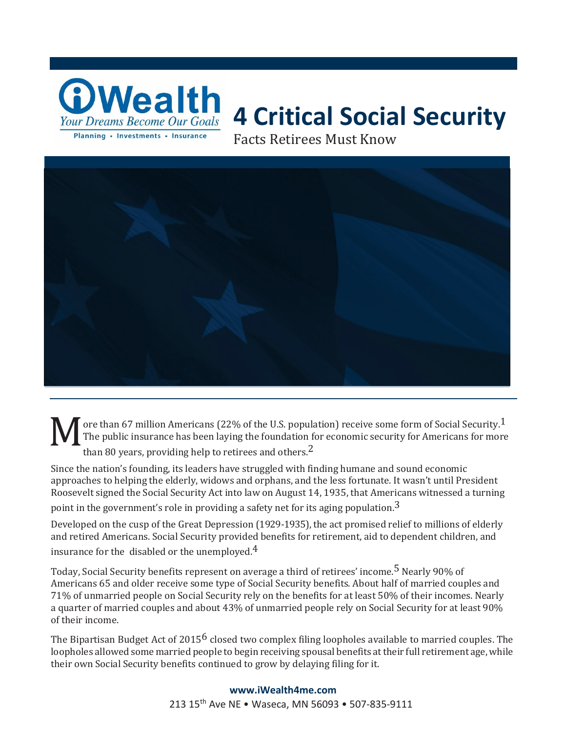

# **4 Critical Social Security**

Facts Retirees Must Know



M ore than 67 million Americans (22% of the U.S. population) receive some form of Social Security.1 The public insurance has been laying the foundation for economic security for Americans for more than 80 years, providing help to retirees and others.<sup>2</sup>

Since the nation's founding, its leaders have struggled with finding humane and sound economic approaches to helping the elderly, widows and orphans, and the less fortunate. It wasn't until President Roosevelt signed the Social Security Act into law on August 14, 1935, that Americans witnessed a turning point in the government's role in providing a safety net for its aging population.<sup>3</sup>

Developed on the cusp of the Great Depression (1929-1935), the act promised relief to millions of elderly and retired Americans. Social Security provided benefits for retirement, aid to dependent children, and insurance for the disabled or the unemployed. $4$ 

Today, Social Security benefits represent on average a third of retirees' income.<sup>5</sup> Nearly 90% of Americans 65 and older receive some type of Social Security benefits. About half of married couples and 71% of unmarried people on Social Security rely on the benefits for at least 50% of their incomes. Nearly a quarter of married couples and about 43% of unmarried people rely on Social Security for at least 90% of their income.

The Bipartisan Budget Act of 2015 $^6$  closed two complex filing loopholes available to married couples. The loopholes allowed some married people to begin receiving spousal benefits at their full retirement age, while their own Social Security benefits continued to grow by delaying filing for it.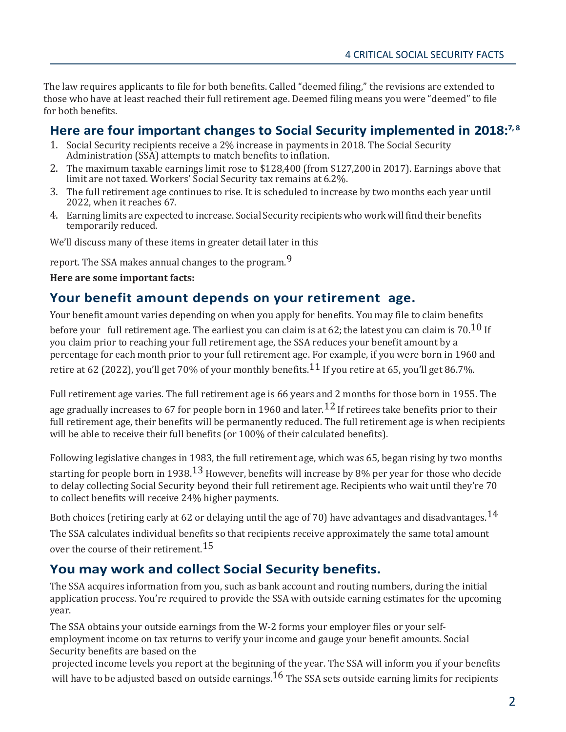The law requires applicants to file for both benefits. Called "deemed filing," the revisions are extended to those who have at least reached their full retirement age. Deemed filing means you were "deemed" to file for both benefits.

## **Here are four important changes to Social Security implemented in 2018:7, 8**

- 1. Social Security recipients receive a 2% increase in payments in 2018. The Social Security Administration (SSA) attempts to match benefits to inflation.
- 2. The maximum taxable earnings limit rose to \$128,400 (from \$127,200 in 2017). Earnings above that limit are not taxed. Workers' Social Security tax remains at 6.2%.
- 3. The full retirement age continues to rise. It is scheduled to increase by two months each year until 2022, when it reaches 67.
- 4. Earning limits are expected to increase. Social Security recipientswhoworkwill find their benefits temporarily reduced.

We'll discuss many of these items in greater detail later in this

report. The SSA makes annual changes to the program.<sup>9</sup>

#### **Here are some important facts:**

#### **Your benefit amount depends on your retirement age.**

Your benefit amount varies depending on when you apply for benefits. You may file to claim benefits

before your full retirement age. The earliest you can claim is at 62; the latest you can claim is 70.<sup>10</sup> If you claim prior to reaching your full retirement age, the SSA reduces your benefit amount by a percentage for each month prior to your full retirement age. For example, if you were born in 1960 and retire at 62 (2022), you'll get 70% of your monthly benefits.<sup>11</sup> If you retire at 65, you'll get 86.7%.

Full retirement age varies. The full retirement age is 66 years and 2 months for those born in 1955. The age gradually increases to 67 for people born in 1960 and later.  $^{12}$  If retirees take benefits prior to their full retirement age, their benefits will be permanently reduced. The full retirement age is when recipients will be able to receive their full benefits (or 100% of their calculated benefits).

Following legislative changes in 1983, the full retirement age, which was 65, began rising by two months starting for people born in 1938.<sup>13</sup> However, benefits will increase by 8% per year for those who decide to delay collecting Social Security beyond their full retirement age. Recipients who wait until they're 70 to collect benefits will receive 24% higher payments.

Both choices (retiring early at 62 or delaying until the age of 70) have advantages and disadvantages.  $^{14}$ 

The SSA calculates individual benefits so that recipients receive approximately the same total amount over the course of their retirement.<sup>15</sup>

#### **You may work and collect Social Security benefits.**

The SSA acquires information from you, such as bank account and routing numbers, during the initial application process. You're required to provide the SSA with outside earning estimates for the upcoming year.

The SSA obtains your outside earnings from the W-2 forms your employer files or your selfemployment income on tax returns to verify your income and gauge your benefit amounts. Social Security benefits are based on the

projected income levels you report at the beginning of the year. The SSA will inform you if your benefits will have to be adjusted based on outside earnings.<sup>16</sup> The SSA sets outside earning limits for recipients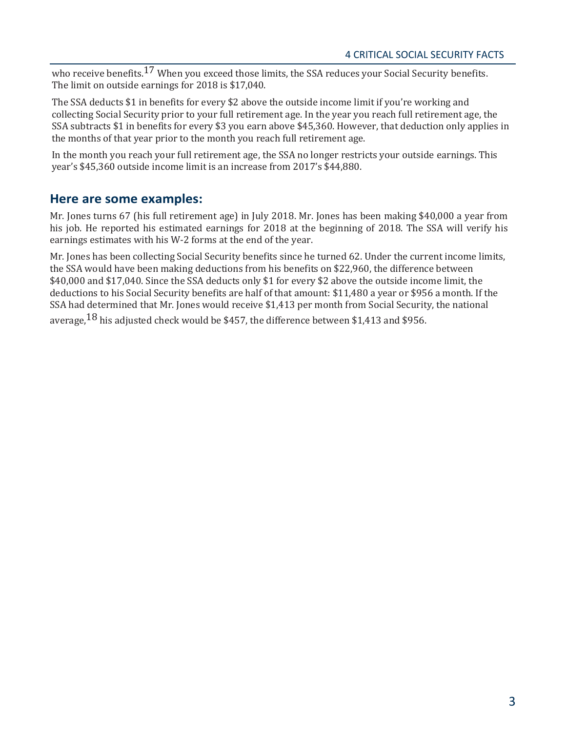who receive benefits.<sup>17</sup> When you exceed those limits, the SSA reduces your Social Security benefits. The limit on outside earnings for 2018 is \$17,040.

The SSA deducts \$1 in benefits for every \$2 above the outside income limit if you're working and collecting Social Security prior to your full retirement age. In the year you reach full retirement age, the SSA subtracts \$1 in benefits for every \$3 you earn above \$45,360. However, that deduction only applies in the months of that year prior to the month you reach full retirement age.

In the month you reach your full retirement age, the SSA no longer restricts your outside earnings. This year's \$45,360 outside income limit is an increase from 2017's \$44,880.

#### **Here are some examples:**

Mr. Jones turns 67 (his full retirement age) in July 2018. Mr. Jones has been making \$40,000 a year from his job. He reported his estimated earnings for 2018 at the beginning of 2018. The SSA will verify his earnings estimates with his W-2 forms at the end of the year.

Mr. Jones has been collecting Social Security benefits since he turned 62. Under the current income limits, the SSA would have been making deductions from his benefits on \$22,960, the difference between \$40,000 and \$17,040. Since the SSA deducts only \$1 for every \$2 above the outside income limit, the deductions to his Social Security benefits are half of that amount: \$11,480 a year or \$956 a month. If the SSA had determined that Mr. Jones would receive \$1,413 per month from Social Security, the national average,  $18$  his adjusted check would be \$457, the difference between \$1,413 and \$956.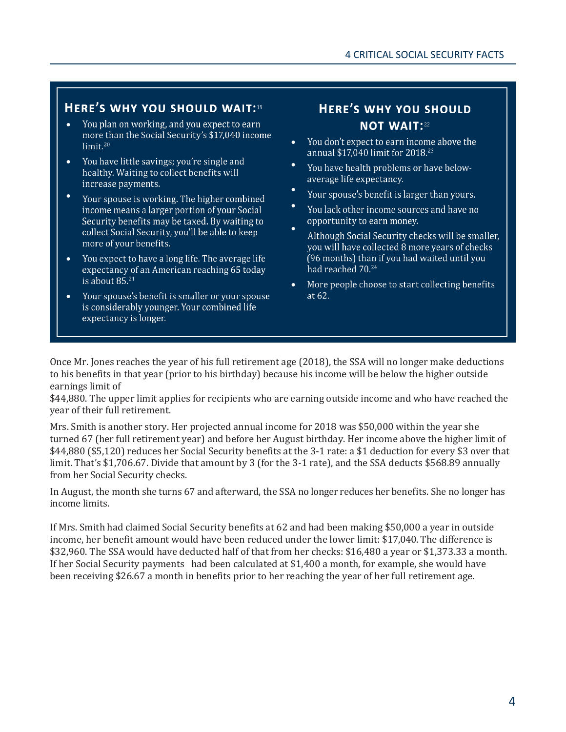#### HERE'S WHY YOU SHOULD WAIT:<sup>19</sup>

- You plan on working, and you expect to earn •more than the Social Security's \$17,040 income  $limit.<sup>20</sup>$
- You have little savings: you're single and • healthy. Waiting to collect benefits will increase payments.
- Your spouse is working. The higher combined income means a larger portion of your Social Security benefits may be taxed. By waiting to collect Social Security, you'll be able to keep more of your benefits.
- You expect to have a long life. The average life • expectancy of an American reaching 65 today is about  $85.^{21}$
- Your spouse's benefit is smaller or your spouse • is considerably younger. Your combined life expectancy is longer.

## **HERE'S WHY YOU SHOULD NOT WAIT:22**

- You don't expect to earn income above the • annual \$17,040 limit for 2018.<sup>23</sup>
- You have health problems or have belowaverage life expectancy.
- Your spouse's benefit is larger than yours.
- You lack other income sources and have no opportunity to earn money.
- Although Social Security checks will be smaller, you will have collected 8 more years of checks (96 months) than if you had waited until you had reached 70.<sup>24</sup>
- More people choose to start collecting benefits • at 62.

Once Mr. Jones reaches the year of his full retirement age (2018), the SSA will no longer make deductions to his benefits in that year (prior to his birthday) because his income will be below the higher outside earnings limit of

\$44,880. The upper limit applies for recipients who are earning outside income and who have reached the year of their full retirement.

Mrs. Smith is another story. Her projected annual income for 2018 was \$50,000 within the year she turned 67 (her full retirement year) and before her August birthday. Her income above the higher limit of \$44,880 (\$5,120) reduces her Social Security benefits at the 3-1 rate: a \$1 deduction for every \$3 over that limit. That's \$1,706.67. Divide that amount by 3 (for the 3-1 rate), and the SSA deducts \$568.89 annually from her Social Security checks.

In August, the month she turns 67 and afterward, the SSA no longer reduces her benefits. She no longer has income limits.

If Mrs. Smith had claimed Social Security benefits at 62 and had been making \$50,000 a year in outside income, her benefit amount would have been reduced under the lower limit: \$17,040. The difference is \$32,960. The SSA would have deducted half of that from her checks: \$16,480 a year or \$1,373.33 a month. If her Social Security payments had been calculated at \$1,400 a month, for example, she would have been receiving \$26.67 a month in benefits prior to her reaching the year of her full retirement age.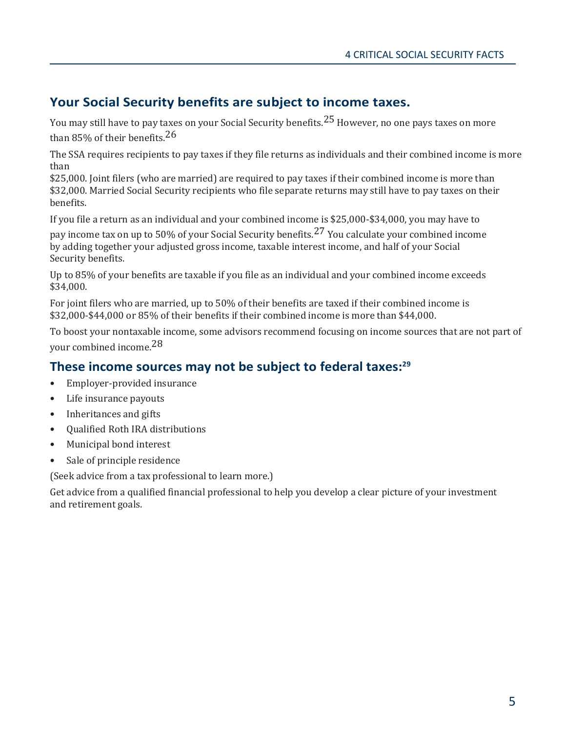## **Your Social Security benefits are subject to income taxes.**

You may still have to pay taxes on your Social Security benefits.<sup>25</sup> However, no one pays taxes on more than 85% of their benefits.  $26$ 

The SSA requires recipients to pay taxes if they file returns as individuals and their combined income is more than

\$25,000. Joint filers (who are married) are required to pay taxes if their combined income is more than \$32,000. Married Social Security recipients who file separate returns may still have to pay taxes on their benefits.

If you file a return as an individual and your combined income is \$25,000-\$34,000, you may have to

pay income tax on up to 50% of your Social Security benefits.<sup>27</sup> You calculate your combined income by adding together your adjusted gross income, taxable interest income, and half of your Social Security benefits.

Up to 85% of your benefits are taxable if you file as an individual and your combined income exceeds \$34,000.

For joint filers who are married, up to 50% of their benefits are taxed if their combined income is \$32,000-\$44,000 or 85% of their benefits if their combined income is more than \$44,000.

To boost your nontaxable income, some advisors recommend focusing on income sources that are not part of your combined income.28

## **These income sources may not be subject to federal taxes:<sup>29</sup>**

- Employer-provided insurance
- Life insurance payouts
- Inheritances and gifts
- Qualified Roth IRA distributions
- Municipal bond interest
- Sale of principle residence

(Seek advice from a tax professional to learn more.)

Get advice from a qualified financial professional to help you develop a clear picture of your investment and retirement goals.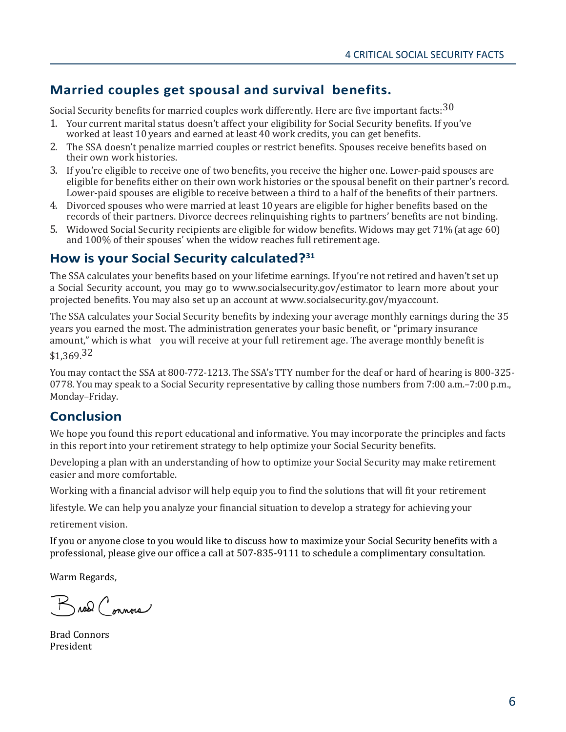## **Married couples get spousal and survival benefits.**

Social Security benefits for married couples work differently. Here are five important facts:  $30$ 

- 1. Your current marital status doesn't affect your eligibility for Social Security benefits. If you've worked at least 10 years and earned at least 40 work credits, you can get benefits.
- 2. The SSA doesn't penalize married couples or restrict benefits. Spouses receive benefits based on their own work histories.
- 3. If you're eligible to receive one of two benefits, you receive the higher one. Lower-paid spouses are eligible for benefits either on their own work histories or the spousal benefit on their partner's record. Lower-paid spouses are eligible to receive between a third to a half of the benefits of their partners.
- 4. Divorced spouses who were married at least 10 years are eligible for higher benefits based on the records of their partners. Divorce decrees relinquishing rights to partners' benefits are not binding.
- 5. Widowed Social Security recipients are eligible for widow benefits. Widows may get 71% (at age 60) and 100% of their spouses' when the widow reaches full retirement age.

#### **How is your Social Security calculated?<sup>31</sup>**

The SSA calculates your benefits based on your lifetime earnings. If you're not retired and haven't set up a Social Security account, you may go [to www.socialsecurity.gov/estimator t](http://www.socialsecurity.gov/estimator)o learn more about your projected benefits. You may also set up an account a[t www.socialsecurity.gov/myaccount.](http://www.socialsecurity.gov/myaccount)

The SSA calculates your Social Security benefits by indexing your average monthly earnings during the 35 years you earned the most. The administration generates your basic benefit, or "primary insurance amount," which is what you will receive at your full retirement age. The average monthly benefit is \$1,369.32

You may contact the SSA at 800-772-1213. The SSA's TTY number for the deaf or hard of hearing is 800-325- 0778. You may speak to a Social Security representative by calling those numbers from 7:00 a.m.–7:00 p.m., Monday–Friday.

## **Conclusion**

We hope you found this report educational and informative. You may incorporate the principles and facts in this report into your retirement strategy to help optimize your Social Security benefits.

Developing a plan with an understanding of how to optimize your Social Security may make retirement easier and more comfortable.

Working with a financial advisor will help equip you to find the solutions that will fit your retirement

lifestyle. We can help you analyze your financial situation to develop a strategy for achieving your

retirement vision.

If you or anyone close to you would like to discuss how to maximize your Social Security benefits with a professional, please give our office a call at 507-835-9111 to schedule a complimentary consultation.

Warm Regards,

Broad Connois

Brad Connors President